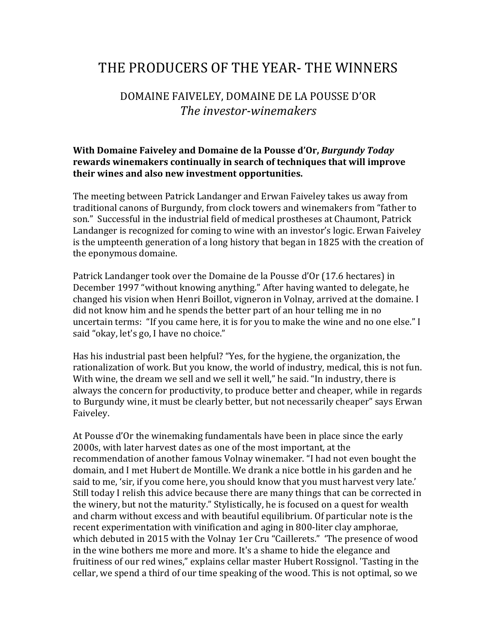## THE PRODUCERS OF THE YEAR- THE WINNERS

## DOMAINE FAIVELEY, DOMAINE DE LA POUSSE D'OR *The investor-winemakers*

## **With Domaine Faiveley and Domaine de la Pousse d'Or,** *Burgundy Today* **rewards** winemakers continually in search of techniques that will improve **their wines and also new investment opportunities.**

The meeting between Patrick Landanger and Erwan Faiveley takes us away from traditional canons of Burgundy, from clock towers and winemakers from "father to son." Successful in the industrial field of medical prostheses at Chaumont, Patrick Landanger is recognized for coming to wine with an investor's logic. Erwan Faiveley is the umpteenth generation of a long history that began in 1825 with the creation of the eponymous domaine.

Patrick Landanger took over the Domaine de la Pousse d'Or (17.6 hectares) in December 1997 "without knowing anything." After having wanted to delegate, he changed his vision when Henri Boillot, vigneron in Volnay, arrived at the domaine. I did not know him and he spends the better part of an hour telling me in no uncertain terms: "If you came here, it is for you to make the wine and no one else." I said "okay, let's go, I have no choice."

Has his industrial past been helpful? "Yes, for the hygiene, the organization, the rationalization of work. But you know, the world of industry, medical, this is not fun. With wine, the dream we sell and we sell it well," he said. "In industry, there is always the concern for productivity, to produce better and cheaper, while in regards to Burgundy wine, it must be clearly better, but not necessarily cheaper" says Erwan Faiveley.

At Pousse d'Or the winemaking fundamentals have been in place since the early 2000s, with later harvest dates as one of the most important, at the recommendation of another famous Volnay winemaker. "I had not even bought the domain, and I met Hubert de Montille. We drank a nice bottle in his garden and he said to me, 'sir, if you come here, you should know that you must harvest very late.' Still today I relish this advice because there are many things that can be corrected in the winery, but not the maturity." Stylistically, he is focused on a quest for wealth and charm without excess and with beautiful equilibrium. Of particular note is the recent experimentation with vinification and aging in 800-liter clay amphorae, which debuted in 2015 with the Volnay 1er Cru "Caillerets." The presence of wood in the wine bothers me more and more. It's a shame to hide the elegance and fruitiness of our red wines," explains cellar master Hubert Rossignol. 'Tasting in the cellar, we spend a third of our time speaking of the wood. This is not optimal, so we